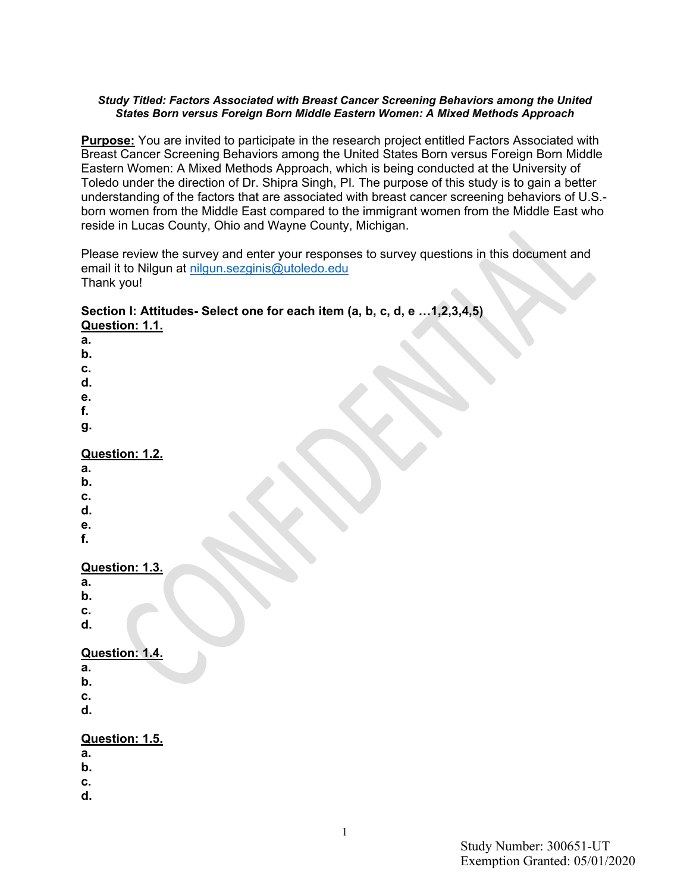#### *Study Titled: Factors Associated with Breast Cancer Screening Behaviors among the United States Born versus Foreign Born Middle Eastern Women: A Mixed Methods Approach*

**Purpose:** You are invited to participate in the research project entitled Factors Associated with Breast Cancer Screening Behaviors among the United States Born versus Foreign Born Middle Eastern Women: A Mixed Methods Approach, which is being conducted at the University of Toledo under the direction of Dr. Shipra Singh, PI*.* The purpose of this study is to gain a better understanding of the factors that are associated with breast cancer screening behaviors of U.S. born women from the Middle East compared to the immigrant women from the Middle East who reside in Lucas County, Ohio and Wayne County, Michigan.

Please review the survey and enter your responses to survey questions in this document and email it to Nilgun at [nilgun.sezginis@utoledo.edu](mailto:nilgun.sezginis@utoledo.edu) Thank you!

#### **Section I: Attitudes- Select one for each item (a, b, c, d, e …1,2,3,4,5) Question: 1.1.**

**a. b. c. d. e. f. g. Question: 1.2. a. b. c.**

- **d.**
- **e.**
- **f.**

# **Question: 1.3.**

- **a.**
- **b.**
- **c.**
- **d.**

# **Question: 1.4.**

- **a.**
- **b.**
- **c.**
- **d.**

# **Question: 1.5.**

- **a.**
- **b.**
- **c.**
- **d.**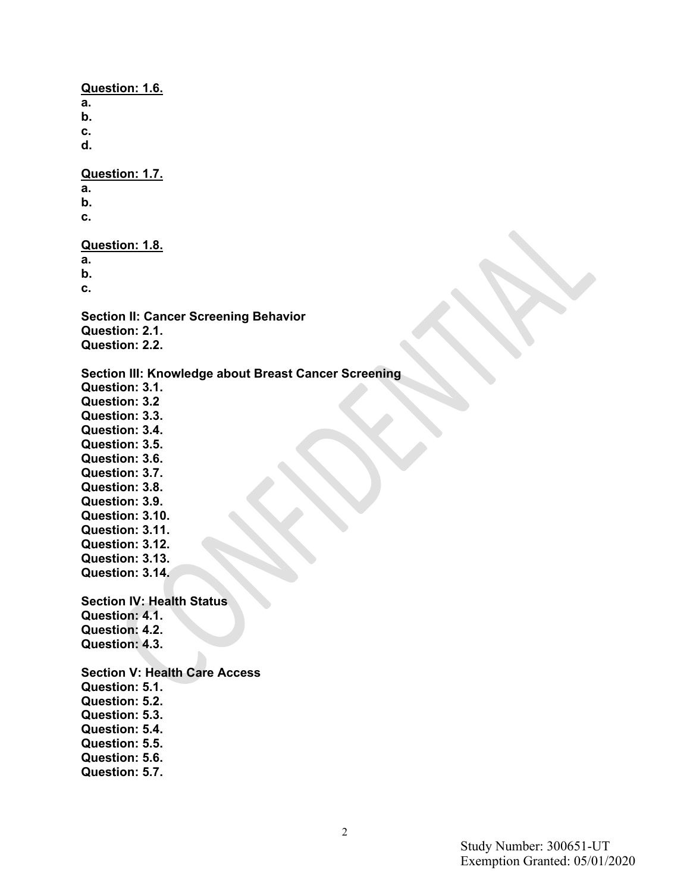**Question: 1.6. a. b. c. d. Question: 1.7. a. b. c. Question: 1.8. a. b. c. Section II: Cancer Screening Behavior Question: 2.1. Question: 2.2. Section III: Knowledge about Breast Cancer Screening Question: 3.1. Question: 3.2 Question: 3.3. Question: 3.4. Question: 3.5. Question: 3.6. Question: 3.7. Question: 3.8. Question: 3.9. Question: 3.10. Question: 3.11. Question: 3.12. Question: 3.13. Question: 3.14. Section IV: Health Status Question: 4.1. Question: 4.2. Question: 4.3. Section V: Health Care Access Question: 5.1. Question: 5.2. Question: 5.3. Question: 5.4. Question: 5.5. Question: 5.6. Question: 5.7.**